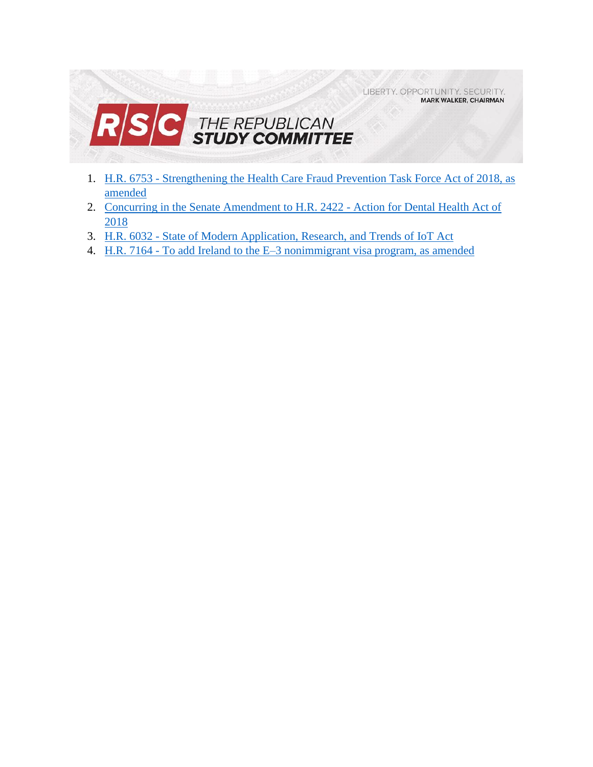LIBERTY. OPPORTUNITY. SECURITY. **MARK WALKER, CHAIRMAN** 



- 1. H.R. 6753 [Strengthening the Health Care Fraud Prevention Task Force Act of 2018, as](#page-1-0)  [amended](#page-1-0)
- 2. [Concurring in the Senate Amendment to H.R. 2422 -](#page-3-0) Action for Dental Health Act of [2018](#page-3-0)
- 3. H.R. 6032 [State of Modern Application, Research, and Trends of IoT Act](#page-5-0)
- 4. H.R. 7164 [To add Ireland to the E–3 nonimmigrant visa program, as amended](#page-6-0)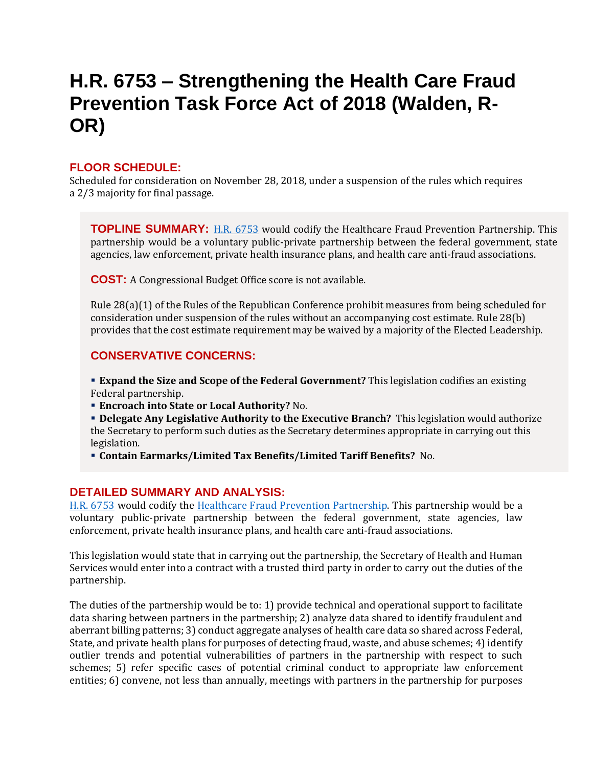# <span id="page-1-0"></span>**H.R. 6753 – Strengthening the Health Care Fraud Prevention Task Force Act of 2018 (Walden, R-OR)**

## **FLOOR SCHEDULE:**

Scheduled for consideration on November 28, 2018, under a suspension of the rules which requires a 2/3 majority for final passage.

**TOPLINE SUMMARY:** [H.R. 6753](https://docs.house.gov/billsthisweek/20181126/HR6753.pdf) would codify the Healthcare Fraud Prevention Partnership. This partnership would be a voluntary public-private partnership between the federal government, state agencies, law enforcement, private health insurance plans, and health care anti-fraud associations.

**COST:** A Congressional Budget Office score is not available.

Rule 28(a)(1) of the Rules of the Republican Conference prohibit measures from being scheduled for consideration under suspension of the rules without an accompanying cost estimate. Rule 28(b) provides that the cost estimate requirement may be waived by a majority of the Elected Leadership.

## **CONSERVATIVE CONCERNS:**

 **Expand the Size and Scope of the Federal Government?** This legislation codifies an existing Federal partnership.

**Encroach into State or Local Authority?** No.

 **Delegate Any Legislative Authority to the Executive Branch?** This legislation would authorize the Secretary to perform such duties as the Secretary determines appropriate in carrying out this legislation.

**Contain Earmarks/Limited Tax Benefits/Limited Tariff Benefits?** No.

## **DETAILED SUMMARY AND ANALYSIS:**

[H.R. 6753](https://docs.house.gov/billsthisweek/20181126/HR6753.pdf) would codify the [Healthcare Fraud Prevention Partnership.](https://hfpp.cms.gov/) This partnership would be a voluntary public-private partnership between the federal government, state agencies, law enforcement, private health insurance plans, and health care anti-fraud associations.

This legislation would state that in carrying out the partnership, the Secretary of Health and Human Services would enter into a contract with a trusted third party in order to carry out the duties of the partnership.

The duties of the partnership would be to: 1) provide technical and operational support to facilitate data sharing between partners in the partnership; 2) analyze data shared to identify fraudulent and aberrant billing patterns; 3) conduct aggregate analyses of health care data so shared across Federal, State, and private health plans for purposes of detecting fraud, waste, and abuse schemes; 4) identify outlier trends and potential vulnerabilities of partners in the partnership with respect to such schemes; 5) refer specific cases of potential criminal conduct to appropriate law enforcement entities; 6) convene, not less than annually, meetings with partners in the partnership for purposes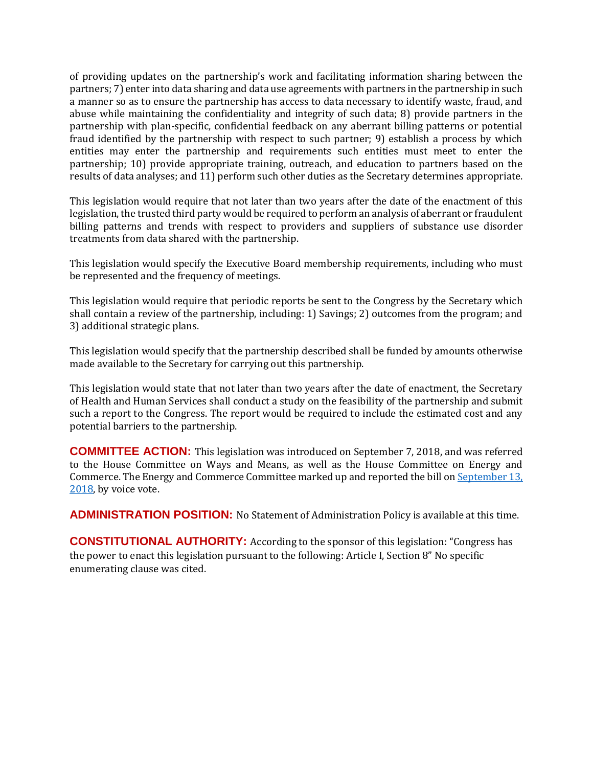of providing updates on the partnership's work and facilitating information sharing between the partners; 7) enter into data sharing and data use agreements with partners in the partnership in such a manner so as to ensure the partnership has access to data necessary to identify waste, fraud, and abuse while maintaining the confidentiality and integrity of such data; 8) provide partners in the partnership with plan-specific, confidential feedback on any aberrant billing patterns or potential fraud identified by the partnership with respect to such partner; 9) establish a process by which entities may enter the partnership and requirements such entities must meet to enter the partnership; 10) provide appropriate training, outreach, and education to partners based on the results of data analyses; and 11) perform such other duties as the Secretary determines appropriate.

This legislation would require that not later than two years after the date of the enactment of this legislation, the trusted third party would be required to perform an analysis of aberrant or fraudulent billing patterns and trends with respect to providers and suppliers of substance use disorder treatments from data shared with the partnership.

This legislation would specify the Executive Board membership requirements, including who must be represented and the frequency of meetings.

This legislation would require that periodic reports be sent to the Congress by the Secretary which shall contain a review of the partnership, including: 1) Savings; 2) outcomes from the program; and 3) additional strategic plans.

This legislation would specify that the partnership described shall be funded by amounts otherwise made available to the Secretary for carrying out this partnership.

This legislation would state that not later than two years after the date of enactment, the Secretary of Health and Human Services shall conduct a study on the feasibility of the partnership and submit such a report to the Congress. The report would be required to include the estimated cost and any potential barriers to the partnership.

**COMMITTEE ACTION:** This legislation was introduced on September 7, 2018, and was referred to the House Committee on Ways and Means, as well as the House Committee on Energy and Commerce. The Energy and Commerce Committee marked up and reported the bill on September 13, [2018,](https://energycommerce.house.gov/markups/energy-and-commerce-committee-vote-on-h-r-6511-h-r-3325-h-r-3891-h-r-5306-h-r-6733-and-h-r-6753/) by voice vote.

**ADMINISTRATION POSITION:** No Statement of Administration Policy is available at this time.

**CONSTITUTIONAL AUTHORITY:** According to the sponsor of this legislation: "Congress has the power to enact this legislation pursuant to the following: Article I, Section 8" No specific enumerating clause was cited.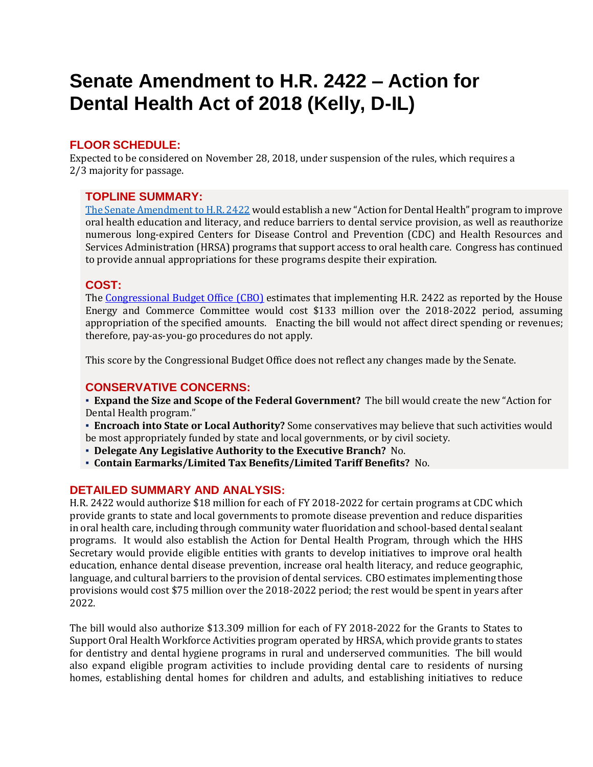# <span id="page-3-0"></span>**Senate Amendment to H.R. 2422 – Action for Dental Health Act of 2018 (Kelly, D-IL)**

## **FLOOR SCHEDULE:**

Expected to be considered on November 28, 2018, under suspension of the rules, which requires a 2/3 majority for passage.

## **TOPLINE SUMMARY:**

[The Senate Amendment to H.R. 2422](https://docs.house.gov/billsthisweek/20181126/HR2422.pdf) would establish a new "Action for Dental Health" program to improve oral health education and literacy, and reduce barriers to dental service provision, as well as reauthorize numerous long-expired Centers for Disease Control and Prevention (CDC) and Health Resources and Services Administration (HRSA) programs that support access to oral health care. Congress has continued to provide annual appropriations for these programs despite their expiration.

## **COST:**

The [Congressional Budget Office \(CBO\)](https://www.cbo.gov/system/files/115th-congress-2017-2018/costestimate/hr2422.pdf) estimates that implementing H.R. 2422 as reported by the House Energy and Commerce Committee would cost \$133 million over the 2018-2022 period, assuming appropriation of the specified amounts. Enacting the bill would not affect direct spending or revenues; therefore, pay-as-you-go procedures do not apply.

This score by the Congressional Budget Office does not reflect any changes made by the Senate.

## **CONSERVATIVE CONCERNS:**

▪ **Expand the Size and Scope of the Federal Government?** The bill would create the new "Action for Dental Health program."

- **Encroach into State or Local Authority?** Some conservatives may believe that such activities would be most appropriately funded by state and local governments, or by civil society.
- **Delegate Any Legislative Authority to the Executive Branch?** No.
- **Contain Earmarks/Limited Tax Benefits/Limited Tariff Benefits?** No.

## **DETAILED SUMMARY AND ANALYSIS:**

H.R. 2422 would authorize \$18 million for each of FY 2018-2022 for certain programs at CDC which provide grants to state and local governments to promote disease prevention and reduce disparities in oral health care, including through community water fluoridation and school-based dental sealant programs. It would also establish the Action for Dental Health Program, through which the HHS Secretary would provide eligible entities with grants to develop initiatives to improve oral health education, enhance dental disease prevention, increase oral health literacy, and reduce geographic, language, and cultural barriers to the provision of dental services. CBO estimates implementing those provisions would cost \$75 million over the 2018-2022 period; the rest would be spent in years after 2022.

The bill would also authorize \$13.309 million for each of FY 2018-2022 for the Grants to States to Support Oral Health Workforce Activities program operated by HRSA, which provide grants to states for dentistry and dental hygiene programs in rural and underserved communities. The bill would also expand eligible program activities to include providing dental care to residents of nursing homes, establishing dental homes for children and adults, and establishing initiatives to reduce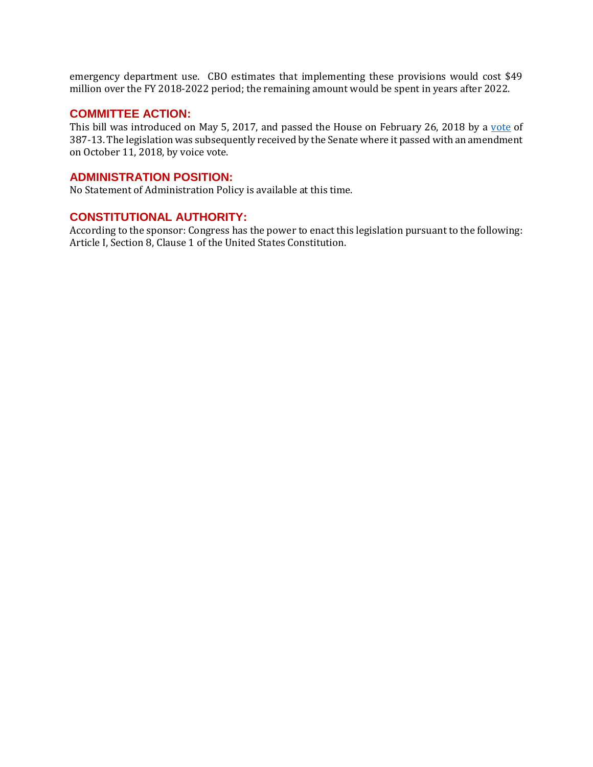emergency department use. CBO estimates that implementing these provisions would cost \$49 million over the FY 2018-2022 period; the remaining amount would be spent in years after 2022.

#### **COMMITTEE ACTION:**

This bill was introduced on May 5, 2017, and passed the House on February 26, 2018 by a [vote](http://clerk.house.gov/evs/2018/roll082.xml) of 387-13. The legislation was subsequently received by the Senate where it passed with an amendment on October 11, 2018, by voice vote.

#### **ADMINISTRATION POSITION:**

No Statement of Administration Policy is available at this time.

#### **CONSTITUTIONAL AUTHORITY:**

According to the sponsor: Congress has the power to enact this legislation pursuant to the following: Article I, Section 8, Clause 1 of the United States Constitution.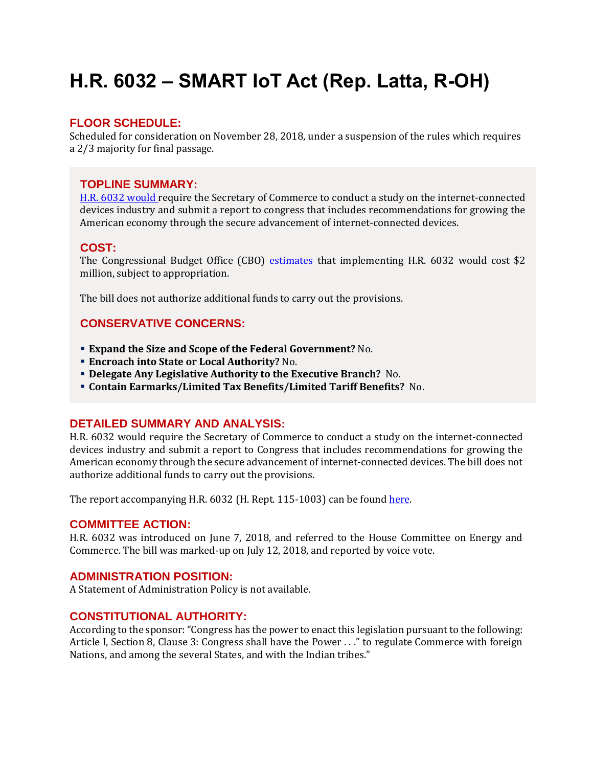# <span id="page-5-0"></span>**H.R. 6032 – SMART IoT Act (Rep. Latta, R-OH)**

## **FLOOR SCHEDULE:**

Scheduled for consideration on November 28, 2018, under a suspension of the rules which requires a 2/3 majority for final passage.

## **TOPLINE SUMMARY:**

[H.R. 6032](https://docs.house.gov/billsthisweek/20181126/HR6032.pdf) would require the Secretary of Commerce to conduct a study on the internet-connected devices industry and submit a report to congress that includes recommendations for growing the American economy through the secure advancement of internet-connected devices.

## **COST:**

The Congressional Budget Office (CBO) [estimates](https://www.cbo.gov/system/files?file=2018-08/hr6032.pdf) that implementing H.R. 6032 would cost \$2 million, subject to appropriation.

The bill does not authorize additional funds to carry out the provisions.

## **CONSERVATIVE CONCERNS:**

- **Expand the Size and Scope of the Federal Government?** No.
- **Encroach into State or Local Authority?** No.
- **Delegate Any Legislative Authority to the Executive Branch?** No.
- **Contain Earmarks/Limited Tax Benefits/Limited Tariff Benefits?** No.

## **DETAILED SUMMARY AND ANALYSIS:**

H.R. 6032 would require the Secretary of Commerce to conduct a study on the internet-connected devices industry and submit a report to Congress that includes recommendations for growing the American economy through the secure advancement of internet-connected devices. The bill does not authorize additional funds to carry out the provisions.

The report accompanying H.R. 6032 (H. Rept. 115-1003) can be found [here.](https://www.congress.gov/115/crpt/hrpt1003/CRPT-115hrpt1003.pdf)

## **COMMITTEE ACTION:**

H.R. 6032 was introduced on June 7, 2018, and referred to the House Committee on Energy and Commerce. The bill was marked-up on July 12, 2018, and reported by voice vote.

## **ADMINISTRATION POSITION:**

A Statement of Administration Policy is not available.

## **CONSTITUTIONAL AUTHORITY:**

According to the sponsor: "Congress has the power to enact this legislation pursuant to the following: Article I, Section 8, Clause 3: Congress shall have the Power . . ." to regulate Commerce with foreign Nations, and among the several States, and with the Indian tribes."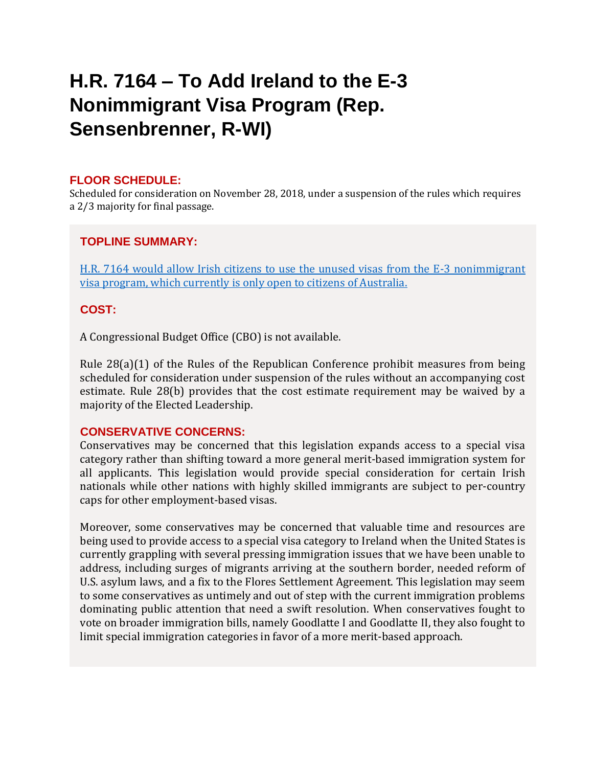# <span id="page-6-0"></span>**H.R. 7164 – To Add Ireland to the E-3 Nonimmigrant Visa Program (Rep. Sensenbrenner, R-WI)**

## **FLOOR SCHEDULE:**

Scheduled for consideration on November 28, 2018, under a suspension of the rules which requires a 2/3 majority for final passage.

## **TOPLINE SUMMARY:**

[H.R. 7164](https://docs.house.gov/billsthisweek/20181126/HR7164-1.pdf) would allow Irish citizens to use the unused visas from the E-3 nonimmigrant visa program, which currently is only open to citizens of Australia.

## **COST:**

A Congressional Budget Office (CBO) is not available.

Rule 28(a)(1) of the Rules of the Republican Conference prohibit measures from being scheduled for consideration under suspension of the rules without an accompanying cost estimate. Rule 28(b) provides that the cost estimate requirement may be waived by a majority of the Elected Leadership.

## **CONSERVATIVE CONCERNS:**

Conservatives may be concerned that this legislation expands access to a special visa category rather than shifting toward a more general merit-based immigration system for all applicants. This legislation would provide special consideration for certain Irish nationals while other nations with highly skilled immigrants are subject to per-country caps for other employment-based visas.

Moreover, some conservatives may be concerned that valuable time and resources are being used to provide access to a special visa category to Ireland when the United States is currently grappling with several pressing immigration issues that we have been unable to address, including surges of migrants arriving at the southern border, needed reform of U.S. asylum laws, and a fix to the Flores Settlement Agreement. This legislation may seem to some conservatives as untimely and out of step with the current immigration problems dominating public attention that need a swift resolution. When conservatives fought to vote on broader immigration bills, namely Goodlatte I and Goodlatte II, they also fought to limit special immigration categories in favor of a more merit-based approach.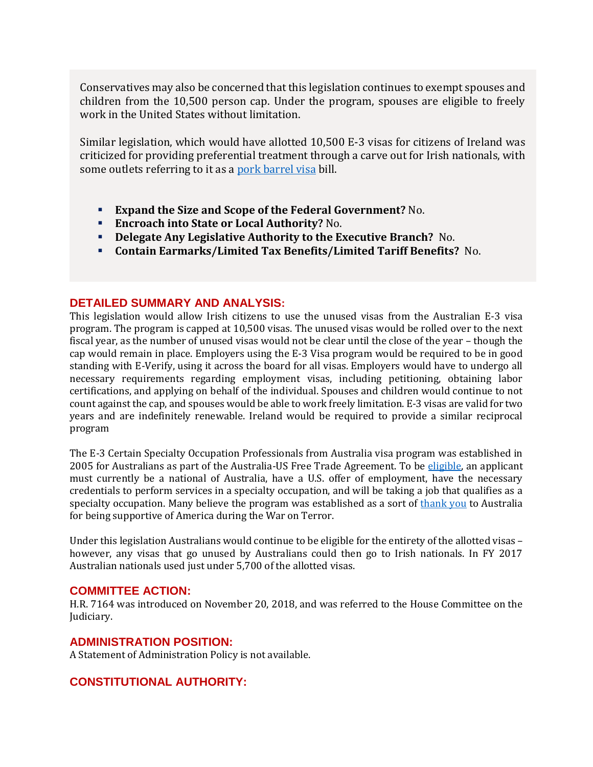Conservatives may also be concerned that this legislation continues to exempt spouses and children from the 10,500 person cap. Under the program, spouses are eligible to freely work in the United States without limitation.

Similar legislation, which would have allotted 10,500 E-3 visas for citizens of Ireland was criticized for providing preferential treatment through a carve out for Irish nationals, with some outlets referring to it as a [pork barrel visa](https://www.huffingtonpost.com/dinkar-jain/e3-visa-scott-brown_b_1270008.html) bill.

- **Expand the Size and Scope of the Federal Government?** No.
- **Encroach into State or Local Authority?** No.
- **Delegate Any Legislative Authority to the Executive Branch?** No.
- **Contain Earmarks/Limited Tax Benefits/Limited Tariff Benefits?** No.

## **DETAILED SUMMARY AND ANALYSIS:**

This legislation would allow Irish citizens to use the unused visas from the Australian E-3 visa program. The program is capped at 10,500 visas. The unused visas would be rolled over to the next fiscal year, as the number of unused visas would not be clear until the close of the year – though the cap would remain in place. Employers using the E-3 Visa program would be required to be in good standing with E-Verify, using it across the board for all visas. Employers would have to undergo all necessary requirements regarding employment visas, including petitioning, obtaining labor certifications, and applying on behalf of the individual. Spouses and children would continue to not count against the cap, and spouses would be able to work freely limitation. E-3 visas are valid for two years and are indefinitely renewable. Ireland would be required to provide a similar reciprocal program

The E-3 Certain Specialty Occupation Professionals from Australia visa program was established in 2005 for Australians as part of the Australia-US Free Trade Agreement. To be [eligible,](https://www.uscis.gov/working-united-states/temporary-workers/e-3-certain-specialty-occupation-professionals-australia) an applicant must currently be a national of Australia, have a U.S. offer of employment, have the necessary credentials to perform services in a specialty occupation, and will be taking a job that qualifies as a specialty occupation. Many believe the program was established as a sort of [thank you](http://gothamist.com/2014/06/09/australians_everywhere.php) to Australia for being supportive of America during the War on Terror.

Under this legislation Australians would continue to be eligible for the entirety of the allotted visas – however, any visas that go unused by Australians could then go to Irish nationals. In FY 2017 Australian nationals used just under 5,700 of the allotted visas.

## **COMMITTEE ACTION:**

H.R. 7164 was introduced on November 20, 2018, and was referred to the House Committee on the Judiciary.

## **ADMINISTRATION POSITION:**

A Statement of Administration Policy is not available.

## **CONSTITUTIONAL AUTHORITY:**